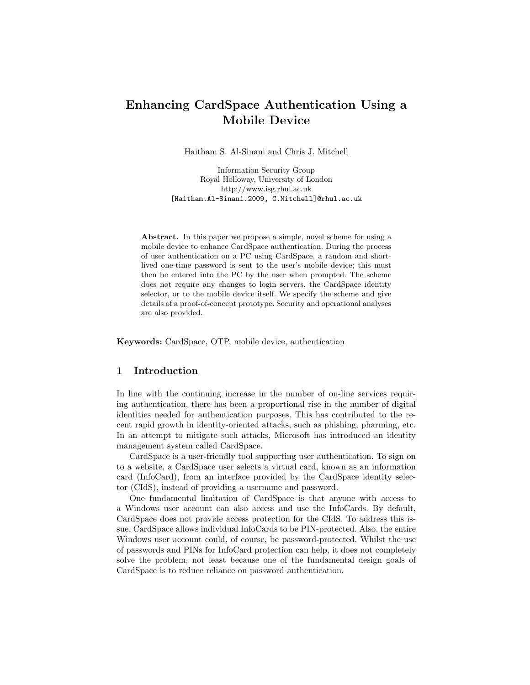# Enhancing CardSpace Authentication Using a Mobile Device

Haitham S. Al-Sinani and Chris J. Mitchell

Information Security Group Royal Holloway, University of London http://www.isg.rhul.ac.uk [Haitham.Al-Sinani.2009, C.Mitchell]@rhul.ac.uk

Abstract. In this paper we propose a simple, novel scheme for using a mobile device to enhance CardSpace authentication. During the process of user authentication on a PC using CardSpace, a random and shortlived one-time password is sent to the user's mobile device; this must then be entered into the PC by the user when prompted. The scheme does not require any changes to login servers, the CardSpace identity selector, or to the mobile device itself. We specify the scheme and give details of a proof-of-concept prototype. Security and operational analyses are also provided.

Keywords: CardSpace, OTP, mobile device, authentication

# 1 Introduction

In line with the continuing increase in the number of on-line services requiring authentication, there has been a proportional rise in the number of digital identities needed for authentication purposes. This has contributed to the recent rapid growth in identity-oriented attacks, such as phishing, pharming, etc. In an attempt to mitigate such attacks, Microsoft has introduced an identity management system called CardSpace.

CardSpace is a user-friendly tool supporting user authentication. To sign on to a website, a CardSpace user selects a virtual card, known as an information card (InfoCard), from an interface provided by the CardSpace identity selector (CIdS), instead of providing a username and password.

One fundamental limitation of CardSpace is that anyone with access to a Windows user account can also access and use the InfoCards. By default, CardSpace does not provide access protection for the CIdS. To address this issue, CardSpace allows individual InfoCards to be PIN-protected. Also, the entire Windows user account could, of course, be password-protected. Whilst the use of passwords and PINs for InfoCard protection can help, it does not completely solve the problem, not least because one of the fundamental design goals of CardSpace is to reduce reliance on password authentication.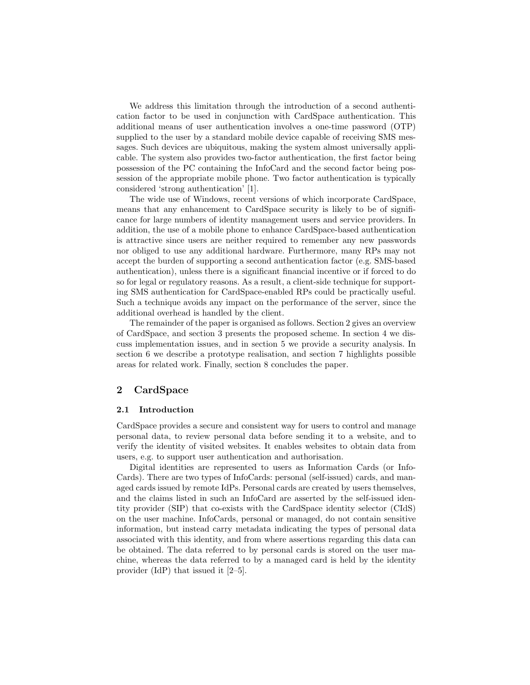We address this limitation through the introduction of a second authentication factor to be used in conjunction with CardSpace authentication. This additional means of user authentication involves a one-time password (OTP) supplied to the user by a standard mobile device capable of receiving SMS messages. Such devices are ubiquitous, making the system almost universally applicable. The system also provides two-factor authentication, the first factor being possession of the PC containing the InfoCard and the second factor being possession of the appropriate mobile phone. Two factor authentication is typically considered 'strong authentication' [1].

The wide use of Windows, recent versions of which incorporate CardSpace, means that any enhancement to CardSpace security is likely to be of significance for large numbers of identity management users and service providers. In addition, the use of a mobile phone to enhance CardSpace-based authentication is attractive since users are neither required to remember any new passwords nor obliged to use any additional hardware. Furthermore, many RPs may not accept the burden of supporting a second authentication factor (e.g. SMS-based authentication), unless there is a significant financial incentive or if forced to do so for legal or regulatory reasons. As a result, a client-side technique for supporting SMS authentication for CardSpace-enabled RPs could be practically useful. Such a technique avoids any impact on the performance of the server, since the additional overhead is handled by the client.

The remainder of the paper is organised as follows. Section 2 gives an overview of CardSpace, and section 3 presents the proposed scheme. In section 4 we discuss implementation issues, and in section 5 we provide a security analysis. In section 6 we describe a prototype realisation, and section 7 highlights possible areas for related work. Finally, section 8 concludes the paper.

## 2 CardSpace

#### 2.1 Introduction

CardSpace provides a secure and consistent way for users to control and manage personal data, to review personal data before sending it to a website, and to verify the identity of visited websites. It enables websites to obtain data from users, e.g. to support user authentication and authorisation.

Digital identities are represented to users as Information Cards (or Info-Cards). There are two types of InfoCards: personal (self-issued) cards, and managed cards issued by remote IdPs. Personal cards are created by users themselves, and the claims listed in such an InfoCard are asserted by the self-issued identity provider (SIP) that co-exists with the CardSpace identity selector (CIdS) on the user machine. InfoCards, personal or managed, do not contain sensitive information, but instead carry metadata indicating the types of personal data associated with this identity, and from where assertions regarding this data can be obtained. The data referred to by personal cards is stored on the user machine, whereas the data referred to by a managed card is held by the identity provider (IdP) that issued it [2–5].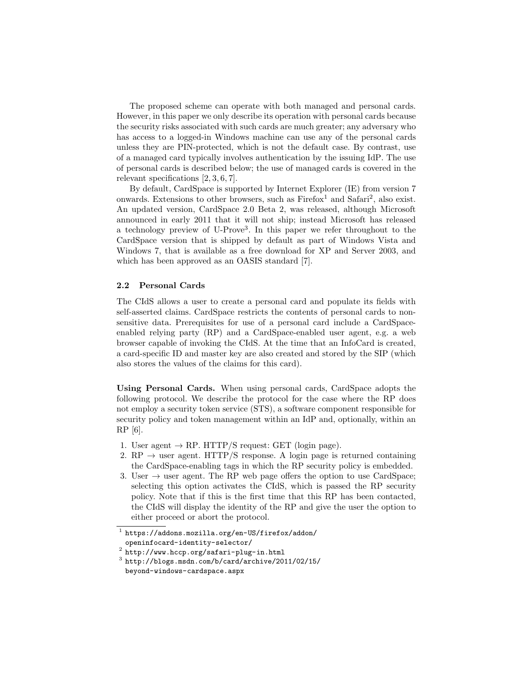The proposed scheme can operate with both managed and personal cards. However, in this paper we only describe its operation with personal cards because the security risks associated with such cards are much greater; any adversary who has access to a logged-in Windows machine can use any of the personal cards unless they are PIN-protected, which is not the default case. By contrast, use of a managed card typically involves authentication by the issuing IdP. The use of personal cards is described below; the use of managed cards is covered in the relevant specifications [2, 3, 6, 7].

By default, CardSpace is supported by Internet Explorer (IE) from version 7 onwards. Extensions to other browsers, such as Firefox<sup>1</sup> and Safari<sup>2</sup>, also exist. An updated version, CardSpace 2.0 Beta 2, was released, although Microsoft announced in early 2011 that it will not ship; instead Microsoft has released a technology preview of U-Prove<sup>3</sup>. In this paper we refer throughout to the CardSpace version that is shipped by default as part of Windows Vista and Windows 7, that is available as a free download for XP and Server 2003, and which has been approved as an OASIS standard [7].

## 2.2 Personal Cards

The CIdS allows a user to create a personal card and populate its fields with self-asserted claims. CardSpace restricts the contents of personal cards to nonsensitive data. Prerequisites for use of a personal card include a CardSpaceenabled relying party (RP) and a CardSpace-enabled user agent, e.g. a web browser capable of invoking the CIdS. At the time that an InfoCard is created, a card-specific ID and master key are also created and stored by the SIP (which also stores the values of the claims for this card).

Using Personal Cards. When using personal cards, CardSpace adopts the following protocol. We describe the protocol for the case where the RP does not employ a security token service (STS), a software component responsible for security policy and token management within an IdP and, optionally, within an RP [6].

- 1. User agent  $\rightarrow$  RP. HTTP/S request: GET (login page).
- 2. RP  $\rightarrow$  user agent. HTTP/S response. A login page is returned containing the CardSpace-enabling tags in which the RP security policy is embedded.
- 3. User  $\rightarrow$  user agent. The RP web page offers the option to use CardSpace; selecting this option activates the CIdS, which is passed the RP security policy. Note that if this is the first time that this RP has been contacted, the CIdS will display the identity of the RP and give the user the option to either proceed or abort the protocol.

 $^1$  https://addons.mozilla.org/en-US/firefox/addon/ openinfocard-identity-selector/

 $^2$  http://www.hccp.org/safari-plug-in.html

 $^3$  http://blogs.msdn.com/b/card/archive/2011/02/15/ beyond-windows-cardspace.aspx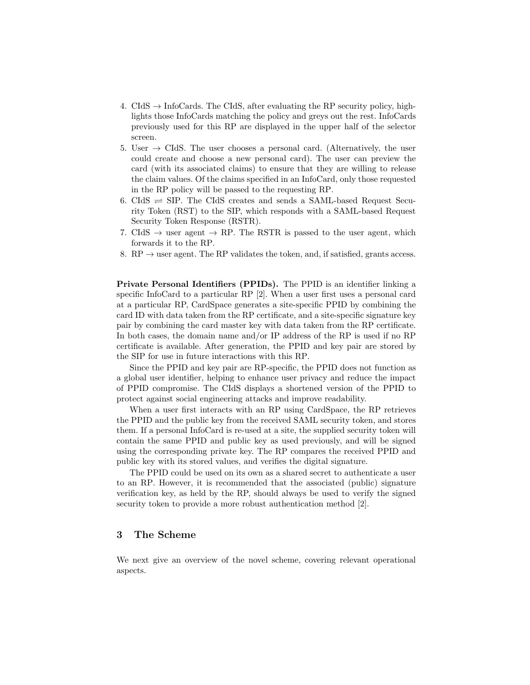- 4. CIdS  $\rightarrow$  InfoCards. The CIdS, after evaluating the RP security policy, highlights those InfoCards matching the policy and greys out the rest. InfoCards previously used for this RP are displayed in the upper half of the selector screen.
- 5. User  $\rightarrow$  CIdS. The user chooses a personal card. (Alternatively, the user could create and choose a new personal card). The user can preview the card (with its associated claims) to ensure that they are willing to release the claim values. Of the claims specified in an InfoCard, only those requested in the RP policy will be passed to the requesting RP.
- 6. CIdS  $\rightleftharpoons$  SIP. The CIdS creates and sends a SAML-based Request Security Token (RST) to the SIP, which responds with a SAML-based Request Security Token Response (RSTR).
- 7. CIdS  $\rightarrow$  user agent  $\rightarrow$  RP. The RSTR is passed to the user agent, which forwards it to the RP.
- 8. RP  $\rightarrow$  user agent. The RP validates the token, and, if satisfied, grants access.

Private Personal Identifiers (PPIDs). The PPID is an identifier linking a specific InfoCard to a particular RP [2]. When a user first uses a personal card at a particular RP, CardSpace generates a site-specific PPID by combining the card ID with data taken from the RP certificate, and a site-specific signature key pair by combining the card master key with data taken from the RP certificate. In both cases, the domain name and/or IP address of the RP is used if no RP certificate is available. After generation, the PPID and key pair are stored by the SIP for use in future interactions with this RP.

Since the PPID and key pair are RP-specific, the PPID does not function as a global user identifier, helping to enhance user privacy and reduce the impact of PPID compromise. The CIdS displays a shortened version of the PPID to protect against social engineering attacks and improve readability.

When a user first interacts with an RP using CardSpace, the RP retrieves the PPID and the public key from the received SAML security token, and stores them. If a personal InfoCard is re-used at a site, the supplied security token will contain the same PPID and public key as used previously, and will be signed using the corresponding private key. The RP compares the received PPID and public key with its stored values, and verifies the digital signature.

The PPID could be used on its own as a shared secret to authenticate a user to an RP. However, it is recommended that the associated (public) signature verification key, as held by the RP, should always be used to verify the signed security token to provide a more robust authentication method [2].

# 3 The Scheme

We next give an overview of the novel scheme, covering relevant operational aspects.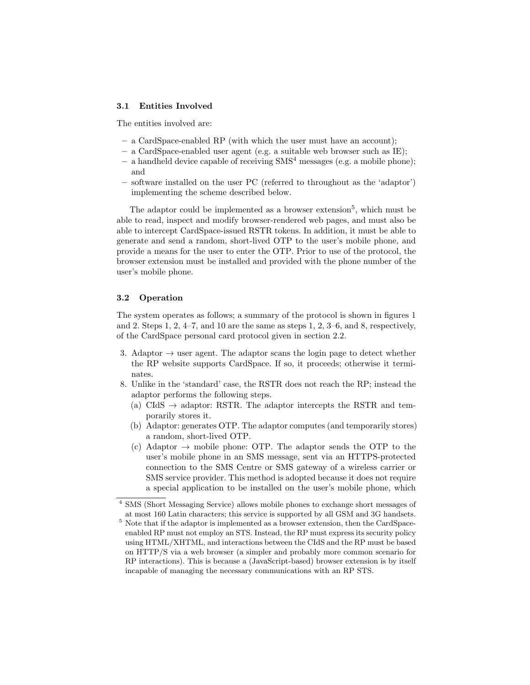## 3.1 Entities Involved

The entities involved are:

- a CardSpace-enabled RP (with which the user must have an account);
- $-$  a CardSpace-enabled user agent (e.g. a suitable web browser such as IE);
- a handheld device capable of receiving  $\text{SMS}^4$  messages (e.g. a mobile phone); and
- software installed on the user PC (referred to throughout as the 'adaptor') implementing the scheme described below.

The adaptor could be implemented as a browser extension<sup>5</sup>, which must be able to read, inspect and modify browser-rendered web pages, and must also be able to intercept CardSpace-issued RSTR tokens. In addition, it must be able to generate and send a random, short-lived OTP to the user's mobile phone, and provide a means for the user to enter the OTP. Prior to use of the protocol, the browser extension must be installed and provided with the phone number of the user's mobile phone.

#### 3.2 Operation

The system operates as follows; a summary of the protocol is shown in figures 1 and 2. Steps 1, 2, 4–7, and 10 are the same as steps 1, 2, 3–6, and 8, respectively, of the CardSpace personal card protocol given in section 2.2.

- 3. Adaptor  $\rightarrow$  user agent. The adaptor scans the login page to detect whether the RP website supports CardSpace. If so, it proceeds; otherwise it terminates.
- 8. Unlike in the 'standard' case, the RSTR does not reach the RP; instead the adaptor performs the following steps.
	- (a) CIdS  $\rightarrow$  adaptor: RSTR. The adaptor intercepts the RSTR and temporarily stores it.
	- (b) Adaptor: generates OTP. The adaptor computes (and temporarily stores) a random, short-lived OTP.
	- (c) Adaptor  $\rightarrow$  mobile phone: OTP. The adaptor sends the OTP to the user's mobile phone in an SMS message, sent via an HTTPS-protected connection to the SMS Centre or SMS gateway of a wireless carrier or SMS service provider. This method is adopted because it does not require a special application to be installed on the user's mobile phone, which

<sup>4</sup> SMS (Short Messaging Service) allows mobile phones to exchange short messages of at most 160 Latin characters; this service is supported by all GSM and 3G handsets.

<sup>5</sup> Note that if the adaptor is implemented as a browser extension, then the CardSpaceenabled RP must not employ an STS. Instead, the RP must express its security policy using HTML/XHTML, and interactions between the CIdS and the RP must be based on HTTP/S via a web browser (a simpler and probably more common scenario for RP interactions). This is because a (JavaScript-based) browser extension is by itself incapable of managing the necessary communications with an RP STS.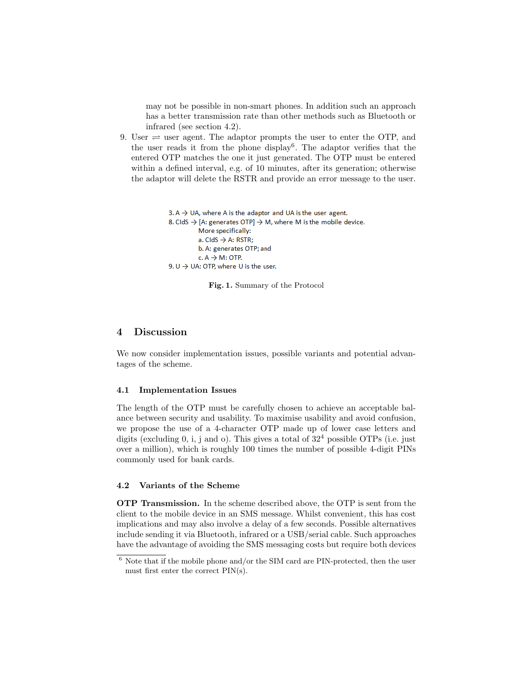may not be possible in non-smart phones. In addition such an approach has a better transmission rate than other methods such as Bluetooth or infrared (see section 4.2).

9. User  $\rightleftharpoons$  user agent. The adaptor prompts the user to enter the OTP, and the user reads it from the phone display<sup>6</sup>. The adaptor verifies that the entered OTP matches the one it just generated. The OTP must be entered within a defined interval, e.g. of 10 minutes, after its generation; otherwise the adaptor will delete the RSTR and provide an error message to the user.

```
3. A \rightarrow UA, where A is the adaptor and UA is the user agent.
8. CldS \rightarrow [A: generates OTP] \rightarrow M, where M is the mobile device.
            More specifically:
            a. CldS \rightarrow A: RSTR;
            b. A: generates OTP; and
            c. A \rightarrow M: OTP.
9. U \rightarrow UA: OTP, where U is the user.
```
Fig. 1. Summary of the Protocol

## 4 Discussion

We now consider implementation issues, possible variants and potential advantages of the scheme.

## 4.1 Implementation Issues

The length of the OTP must be carefully chosen to achieve an acceptable balance between security and usability. To maximise usability and avoid confusion, we propose the use of a 4-character OTP made up of lower case letters and digits (excluding  $0$ , i, j and  $o$ ). This gives a total of  $32<sup>4</sup>$  possible OTPs (i.e. just over a million), which is roughly 100 times the number of possible 4-digit PINs commonly used for bank cards.

#### 4.2 Variants of the Scheme

OTP Transmission. In the scheme described above, the OTP is sent from the client to the mobile device in an SMS message. Whilst convenient, this has cost implications and may also involve a delay of a few seconds. Possible alternatives include sending it via Bluetooth, infrared or a USB/serial cable. Such approaches have the advantage of avoiding the SMS messaging costs but require both devices

 $6$  Note that if the mobile phone and/or the SIM card are PIN-protected, then the user must first enter the correct PIN(s).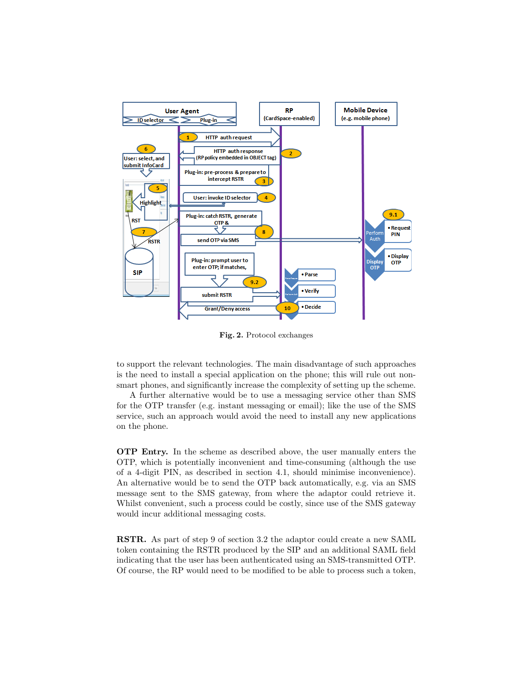

Fig. 2. Protocol exchanges

to support the relevant technologies. The main disadvantage of such approaches is the need to install a special application on the phone; this will rule out nonsmart phones, and significantly increase the complexity of setting up the scheme.

A further alternative would be to use a messaging service other than SMS for the OTP transfer (e.g. instant messaging or email); like the use of the SMS service, such an approach would avoid the need to install any new applications on the phone.

OTP Entry. In the scheme as described above, the user manually enters the OTP, which is potentially inconvenient and time-consuming (although the use of a 4-digit PIN, as described in section 4.1, should minimise inconvenience). An alternative would be to send the OTP back automatically, e.g. via an SMS message sent to the SMS gateway, from where the adaptor could retrieve it. Whilst convenient, such a process could be costly, since use of the SMS gateway would incur additional messaging costs.

RSTR. As part of step 9 of section 3.2 the adaptor could create a new SAML token containing the RSTR produced by the SIP and an additional SAML field indicating that the user has been authenticated using an SMS-transmitted OTP. Of course, the RP would need to be modified to be able to process such a token,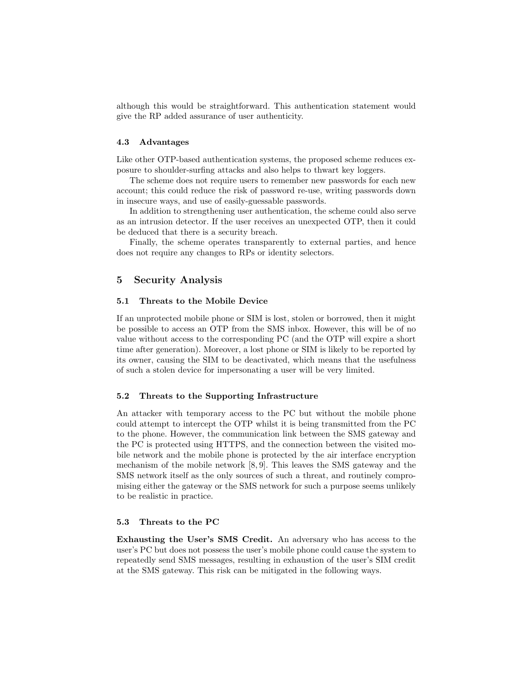although this would be straightforward. This authentication statement would give the RP added assurance of user authenticity.

## 4.3 Advantages

Like other OTP-based authentication systems, the proposed scheme reduces exposure to shoulder-surfing attacks and also helps to thwart key loggers.

The scheme does not require users to remember new passwords for each new account; this could reduce the risk of password re-use, writing passwords down in insecure ways, and use of easily-guessable passwords.

In addition to strengthening user authentication, the scheme could also serve as an intrusion detector. If the user receives an unexpected OTP, then it could be deduced that there is a security breach.

Finally, the scheme operates transparently to external parties, and hence does not require any changes to RPs or identity selectors.

# 5 Security Analysis

#### 5.1 Threats to the Mobile Device

If an unprotected mobile phone or SIM is lost, stolen or borrowed, then it might be possible to access an OTP from the SMS inbox. However, this will be of no value without access to the corresponding PC (and the OTP will expire a short time after generation). Moreover, a lost phone or SIM is likely to be reported by its owner, causing the SIM to be deactivated, which means that the usefulness of such a stolen device for impersonating a user will be very limited.

#### 5.2 Threats to the Supporting Infrastructure

An attacker with temporary access to the PC but without the mobile phone could attempt to intercept the OTP whilst it is being transmitted from the PC to the phone. However, the communication link between the SMS gateway and the PC is protected using HTTPS, and the connection between the visited mobile network and the mobile phone is protected by the air interface encryption mechanism of the mobile network [8, 9]. This leaves the SMS gateway and the SMS network itself as the only sources of such a threat, and routinely compromising either the gateway or the SMS network for such a purpose seems unlikely to be realistic in practice.

#### 5.3 Threats to the PC

Exhausting the User's SMS Credit. An adversary who has access to the user's PC but does not possess the user's mobile phone could cause the system to repeatedly send SMS messages, resulting in exhaustion of the user's SIM credit at the SMS gateway. This risk can be mitigated in the following ways.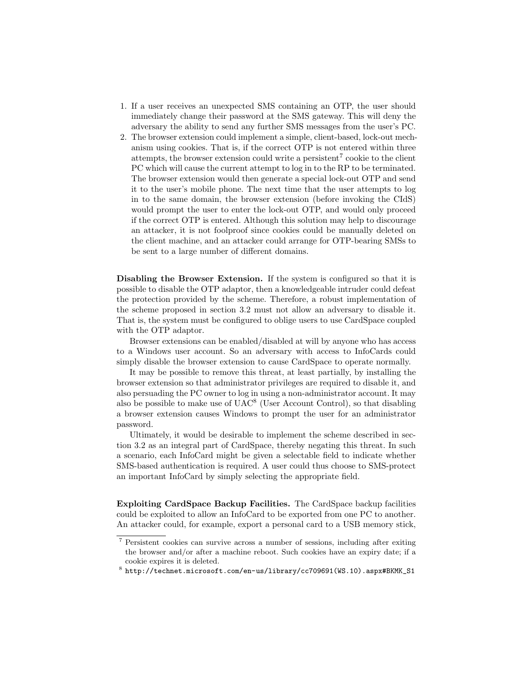- 1. If a user receives an unexpected SMS containing an OTP, the user should immediately change their password at the SMS gateway. This will deny the adversary the ability to send any further SMS messages from the user's PC.
- 2. The browser extension could implement a simple, client-based, lock-out mechanism using cookies. That is, if the correct OTP is not entered within three attempts, the browser extension could write a persistent<sup>7</sup> cookie to the client PC which will cause the current attempt to log in to the RP to be terminated. The browser extension would then generate a special lock-out OTP and send it to the user's mobile phone. The next time that the user attempts to log in to the same domain, the browser extension (before invoking the CIdS) would prompt the user to enter the lock-out OTP, and would only proceed if the correct OTP is entered. Although this solution may help to discourage an attacker, it is not foolproof since cookies could be manually deleted on the client machine, and an attacker could arrange for OTP-bearing SMSs to be sent to a large number of different domains.

Disabling the Browser Extension. If the system is configured so that it is possible to disable the OTP adaptor, then a knowledgeable intruder could defeat the protection provided by the scheme. Therefore, a robust implementation of the scheme proposed in section 3.2 must not allow an adversary to disable it. That is, the system must be configured to oblige users to use CardSpace coupled with the OTP adaptor.

Browser extensions can be enabled/disabled at will by anyone who has access to a Windows user account. So an adversary with access to InfoCards could simply disable the browser extension to cause CardSpace to operate normally.

It may be possible to remove this threat, at least partially, by installing the browser extension so that administrator privileges are required to disable it, and also persuading the PC owner to log in using a non-administrator account. It may also be possible to make use of UAC<sup>8</sup> (User Account Control), so that disabling a browser extension causes Windows to prompt the user for an administrator password.

Ultimately, it would be desirable to implement the scheme described in section 3.2 as an integral part of CardSpace, thereby negating this threat. In such a scenario, each InfoCard might be given a selectable field to indicate whether SMS-based authentication is required. A user could thus choose to SMS-protect an important InfoCard by simply selecting the appropriate field.

Exploiting CardSpace Backup Facilities. The CardSpace backup facilities could be exploited to allow an InfoCard to be exported from one PC to another. An attacker could, for example, export a personal card to a USB memory stick,

<sup>7</sup> Persistent cookies can survive across a number of sessions, including after exiting the browser and/or after a machine reboot. Such cookies have an expiry date; if a cookie expires it is deleted.

 $^8$  http://technet.microsoft.com/en-us/library/cc709691(WS.10).aspx#BKMK\_S1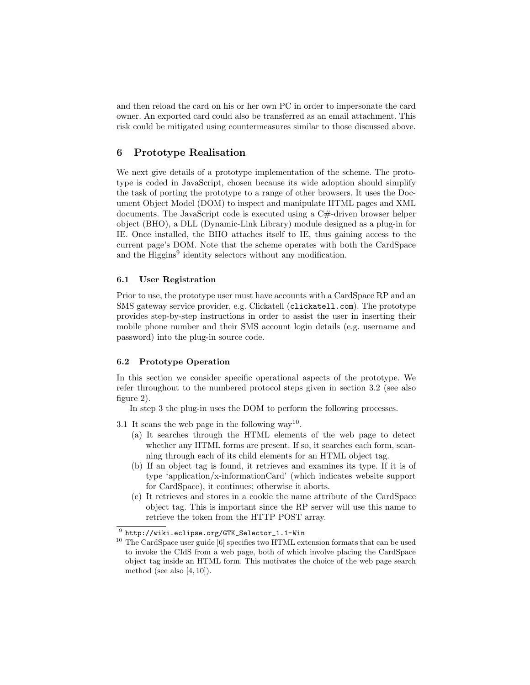and then reload the card on his or her own PC in order to impersonate the card owner. An exported card could also be transferred as an email attachment. This risk could be mitigated using countermeasures similar to those discussed above.

# 6 Prototype Realisation

We next give details of a prototype implementation of the scheme. The prototype is coded in JavaScript, chosen because its wide adoption should simplify the task of porting the prototype to a range of other browsers. It uses the Document Object Model (DOM) to inspect and manipulate HTML pages and XML documents. The JavaScript code is executed using a C#-driven browser helper object (BHO), a DLL (Dynamic-Link Library) module designed as a plug-in for IE. Once installed, the BHO attaches itself to IE, thus gaining access to the current page's DOM. Note that the scheme operates with both the CardSpace and the Higgins<sup>9</sup> identity selectors without any modification.

## 6.1 User Registration

Prior to use, the prototype user must have accounts with a CardSpace RP and an SMS gateway service provider, e.g. Clickatell (clickatell.com). The prototype provides step-by-step instructions in order to assist the user in inserting their mobile phone number and their SMS account login details (e.g. username and password) into the plug-in source code.

# 6.2 Prototype Operation

In this section we consider specific operational aspects of the prototype. We refer throughout to the numbered protocol steps given in section 3.2 (see also figure 2).

In step 3 the plug-in uses the DOM to perform the following processes.

- 3.1 It scans the web page in the following way<sup>10</sup>.
	- (a) It searches through the HTML elements of the web page to detect whether any HTML forms are present. If so, it searches each form, scanning through each of its child elements for an HTML object tag.
	- (b) If an object tag is found, it retrieves and examines its type. If it is of type 'application/x-informationCard' (which indicates website support for CardSpace), it continues; otherwise it aborts.
	- (c) It retrieves and stores in a cookie the name attribute of the CardSpace object tag. This is important since the RP server will use this name to retrieve the token from the HTTP POST array.

 $^9$  http://wiki.eclipse.org/GTK\_Selector\_1.1-Win

<sup>&</sup>lt;sup>10</sup> The CardSpace user guide [6] specifies two HTML extension formats that can be used to invoke the CIdS from a web page, both of which involve placing the CardSpace object tag inside an HTML form. This motivates the choice of the web page search method (see also  $[4, 10]$ ).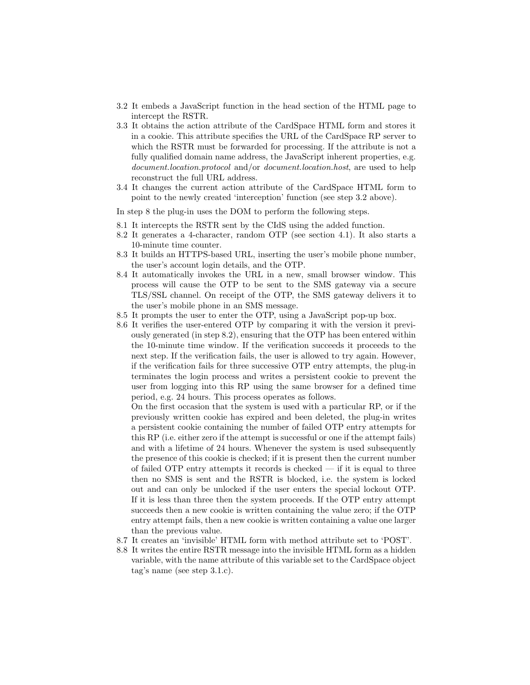- 3.2 It embeds a JavaScript function in the head section of the HTML page to intercept the RSTR.
- 3.3 It obtains the action attribute of the CardSpace HTML form and stores it in a cookie. This attribute specifies the URL of the CardSpace RP server to which the RSTR must be forwarded for processing. If the attribute is not a fully qualified domain name address, the JavaScript inherent properties, e.g. document.location.protocol and/or document.location.host, are used to help reconstruct the full URL address.
- 3.4 It changes the current action attribute of the CardSpace HTML form to point to the newly created 'interception' function (see step 3.2 above).
- In step 8 the plug-in uses the DOM to perform the following steps.
- 8.1 It intercepts the RSTR sent by the CIdS using the added function.
- 8.2 It generates a 4-character, random OTP (see section 4.1). It also starts a 10-minute time counter.
- 8.3 It builds an HTTPS-based URL, inserting the user's mobile phone number, the user's account login details, and the OTP.
- 8.4 It automatically invokes the URL in a new, small browser window. This process will cause the OTP to be sent to the SMS gateway via a secure TLS/SSL channel. On receipt of the OTP, the SMS gateway delivers it to the user's mobile phone in an SMS message.
- 8.5 It prompts the user to enter the OTP, using a JavaScript pop-up box.
- 8.6 It verifies the user-entered OTP by comparing it with the version it previously generated (in step 8.2), ensuring that the OTP has been entered within the 10-minute time window. If the verification succeeds it proceeds to the next step. If the verification fails, the user is allowed to try again. However, if the verification fails for three successive OTP entry attempts, the plug-in terminates the login process and writes a persistent cookie to prevent the user from logging into this RP using the same browser for a defined time period, e.g. 24 hours. This process operates as follows.

On the first occasion that the system is used with a particular RP, or if the previously written cookie has expired and been deleted, the plug-in writes a persistent cookie containing the number of failed OTP entry attempts for this RP (i.e. either zero if the attempt is successful or one if the attempt fails) and with a lifetime of 24 hours. Whenever the system is used subsequently the presence of this cookie is checked; if it is present then the current number of failed OTP entry attempts it records is checked — if it is equal to three then no SMS is sent and the RSTR is blocked, i.e. the system is locked out and can only be unlocked if the user enters the special lockout OTP. If it is less than three then the system proceeds. If the OTP entry attempt succeeds then a new cookie is written containing the value zero; if the OTP entry attempt fails, then a new cookie is written containing a value one larger than the previous value.

- 8.7 It creates an 'invisible' HTML form with method attribute set to 'POST'.
- 8.8 It writes the entire RSTR message into the invisible HTML form as a hidden variable, with the name attribute of this variable set to the CardSpace object tag's name (see step 3.1.c).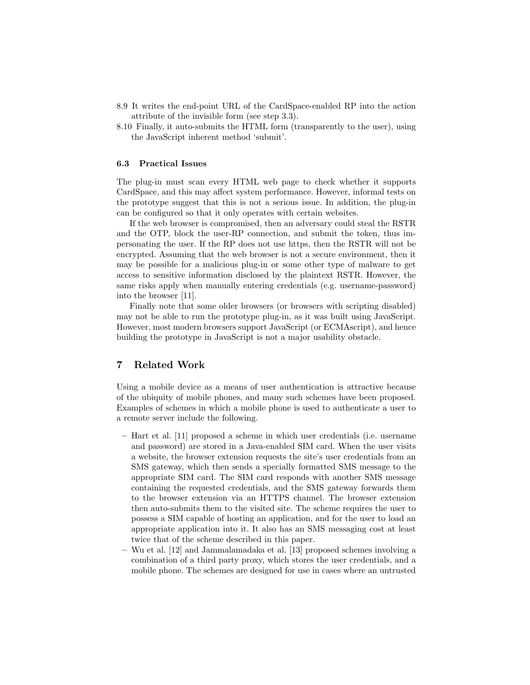- 8.9 It writes the end-point URL of the CardSpace-enabled RP into the action attribute of the invisible form (see step 3.3).
- 8.10 Finally, it auto-submits the HTML form (transparently to the user), using the JavaScript inherent method 'submit'.

#### 6.3 Practical Issues

The plug-in must scan every HTML web page to check whether it supports CardSpace, and this may affect system performance. However, informal tests on the prototype suggest that this is not a serious issue. In addition, the plug-in can be configured so that it only operates with certain websites.

If the web browser is compromised, then an adversary could steal the RSTR and the OTP, block the user-RP connection, and submit the token, thus impersonating the user. If the RP does not use https, then the RSTR will not be encrypted. Assuming that the web browser is not a secure environment, then it may be possible for a malicious plug-in or some other type of malware to get access to sensitive information disclosed by the plaintext RSTR. However, the same risks apply when manually entering credentials (e.g. username-password) into the browser [11].

Finally note that some older browsers (or browsers with scripting disabled) may not be able to run the prototype plug-in, as it was built using JavaScript. However, most modern browsers support JavaScript (or ECMAscript), and hence building the prototype in JavaScript is not a major usability obstacle.

# 7 Related Work

Using a mobile device as a means of user authentication is attractive because of the ubiquity of mobile phones, and many such schemes have been proposed. Examples of schemes in which a mobile phone is used to authenticate a user to a remote server include the following.

- Hart et al. [11] proposed a scheme in which user credentials (i.e. username and password) are stored in a Java-enabled SIM card. When the user visits a website, the browser extension requests the site's user credentials from an SMS gateway, which then sends a specially formatted SMS message to the appropriate SIM card. The SIM card responds with another SMS message containing the requested credentials, and the SMS gateway forwards them to the browser extension via an HTTPS channel. The browser extension then auto-submits them to the visited site. The scheme requires the user to possess a SIM capable of hosting an application, and for the user to load an appropriate application into it. It also has an SMS messaging cost at least twice that of the scheme described in this paper.
- Wu et al. [12] and Jammalamadaka et al. [13] proposed schemes involving a combination of a third party proxy, which stores the user credentials, and a mobile phone. The schemes are designed for use in cases where an untrusted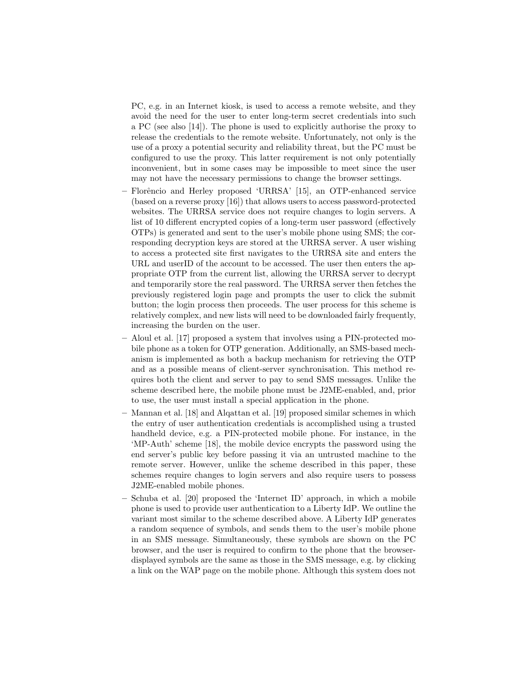PC, e.g. in an Internet kiosk, is used to access a remote website, and they avoid the need for the user to enter long-term secret credentials into such a PC (see also [14]). The phone is used to explicitly authorise the proxy to release the credentials to the remote website. Unfortunately, not only is the use of a proxy a potential security and reliability threat, but the PC must be configured to use the proxy. This latter requirement is not only potentially inconvenient, but in some cases may be impossible to meet since the user may not have the necessary permissions to change the browser settings.

- Florêncio and Herley proposed 'URRSA' [15], an OTP-enhanced service (based on a reverse proxy [16]) that allows users to access password-protected websites. The URRSA service does not require changes to login servers. A list of 10 different encrypted copies of a long-term user password (effectively OTPs) is generated and sent to the user's mobile phone using SMS; the corresponding decryption keys are stored at the URRSA server. A user wishing to access a protected site first navigates to the URRSA site and enters the URL and userID of the account to be accessed. The user then enters the appropriate OTP from the current list, allowing the URRSA server to decrypt and temporarily store the real password. The URRSA server then fetches the previously registered login page and prompts the user to click the submit button; the login process then proceeds. The user process for this scheme is relatively complex, and new lists will need to be downloaded fairly frequently, increasing the burden on the user.
- Aloul et al. [17] proposed a system that involves using a PIN-protected mobile phone as a token for OTP generation. Additionally, an SMS-based mechanism is implemented as both a backup mechanism for retrieving the OTP and as a possible means of client-server synchronisation. This method requires both the client and server to pay to send SMS messages. Unlike the scheme described here, the mobile phone must be J2ME-enabled, and, prior to use, the user must install a special application in the phone.
- Mannan et al. [18] and Alqattan et al. [19] proposed similar schemes in which the entry of user authentication credentials is accomplished using a trusted handheld device, e.g. a PIN-protected mobile phone. For instance, in the 'MP-Auth' scheme [18], the mobile device encrypts the password using the end server's public key before passing it via an untrusted machine to the remote server. However, unlike the scheme described in this paper, these schemes require changes to login servers and also require users to possess J2ME-enabled mobile phones.
- Schuba et al. [20] proposed the 'Internet ID' approach, in which a mobile phone is used to provide user authentication to a Liberty IdP. We outline the variant most similar to the scheme described above. A Liberty IdP generates a random sequence of symbols, and sends them to the user's mobile phone in an SMS message. Simultaneously, these symbols are shown on the PC browser, and the user is required to confirm to the phone that the browserdisplayed symbols are the same as those in the SMS message, e.g. by clicking a link on the WAP page on the mobile phone. Although this system does not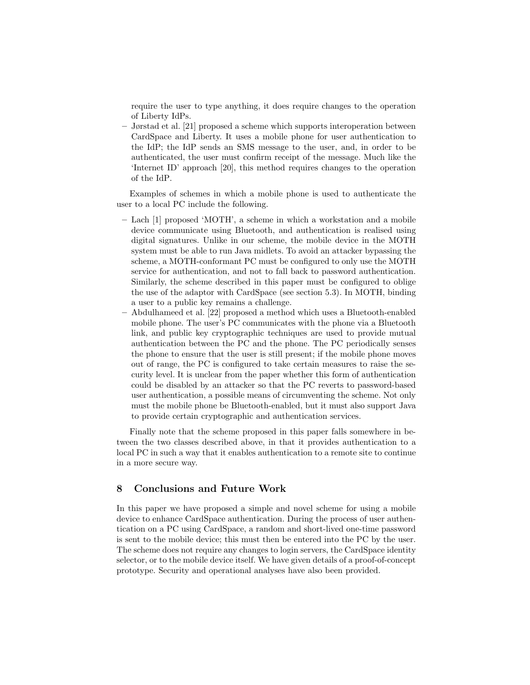require the user to type anything, it does require changes to the operation of Liberty IdPs.

– Jørstad et al. [21] proposed a scheme which supports interoperation between CardSpace and Liberty. It uses a mobile phone for user authentication to the IdP; the IdP sends an SMS message to the user, and, in order to be authenticated, the user must confirm receipt of the message. Much like the 'Internet ID' approach [20], this method requires changes to the operation of the IdP.

Examples of schemes in which a mobile phone is used to authenticate the user to a local PC include the following.

- Lach [1] proposed 'MOTH', a scheme in which a workstation and a mobile device communicate using Bluetooth, and authentication is realised using digital signatures. Unlike in our scheme, the mobile device in the MOTH system must be able to run Java midlets. To avoid an attacker bypassing the scheme, a MOTH-conformant PC must be configured to only use the MOTH service for authentication, and not to fall back to password authentication. Similarly, the scheme described in this paper must be configured to oblige the use of the adaptor with CardSpace (see section 5.3). In MOTH, binding a user to a public key remains a challenge.
- Abdulhameed et al. [22] proposed a method which uses a Bluetooth-enabled mobile phone. The user's PC communicates with the phone via a Bluetooth link, and public key cryptographic techniques are used to provide mutual authentication between the PC and the phone. The PC periodically senses the phone to ensure that the user is still present; if the mobile phone moves out of range, the PC is configured to take certain measures to raise the security level. It is unclear from the paper whether this form of authentication could be disabled by an attacker so that the PC reverts to password-based user authentication, a possible means of circumventing the scheme. Not only must the mobile phone be Bluetooth-enabled, but it must also support Java to provide certain cryptographic and authentication services.

Finally note that the scheme proposed in this paper falls somewhere in between the two classes described above, in that it provides authentication to a local PC in such a way that it enables authentication to a remote site to continue in a more secure way.

# 8 Conclusions and Future Work

In this paper we have proposed a simple and novel scheme for using a mobile device to enhance CardSpace authentication. During the process of user authentication on a PC using CardSpace, a random and short-lived one-time password is sent to the mobile device; this must then be entered into the PC by the user. The scheme does not require any changes to login servers, the CardSpace identity selector, or to the mobile device itself. We have given details of a proof-of-concept prototype. Security and operational analyses have also been provided.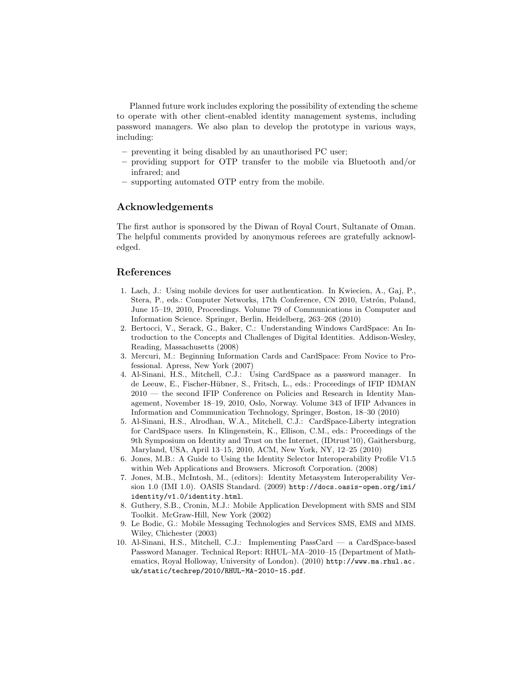Planned future work includes exploring the possibility of extending the scheme to operate with other client-enabled identity management systems, including password managers. We also plan to develop the prototype in various ways, including:

- preventing it being disabled by an unauthorised PC user;
- providing support for OTP transfer to the mobile via Bluetooth and/or infrared; and
- supporting automated OTP entry from the mobile.

## Acknowledgements

The first author is sponsored by the Diwan of Royal Court, Sultanate of Oman. The helpful comments provided by anonymous referees are gratefully acknowledged.

## References

- 1. Lach, J.: Using mobile devices for user authentication. In Kwiecien, A., Gaj, P., Stera, P., eds.: Computer Networks, 17th Conference, CN 2010, Ustrón, Poland, June 15–19, 2010, Proceedings. Volume 79 of Communications in Computer and Information Science. Springer, Berlin, Heidelberg, 263–268 (2010)
- 2. Bertocci, V., Serack, G., Baker, C.: Understanding Windows CardSpace: An Introduction to the Concepts and Challenges of Digital Identities. Addison-Wesley, Reading, Massachusetts (2008)
- 3. Mercuri, M.: Beginning Information Cards and CardSpace: From Novice to Professional. Apress, New York (2007)
- 4. Al-Sinani, H.S., Mitchell, C.J.: Using CardSpace as a password manager. In de Leeuw, E., Fischer-Hübner, S., Fritsch, L., eds.: Proceedings of IFIP IDMAN 2010 — the second IFIP Conference on Policies and Research in Identity Management, November 18–19, 2010, Oslo, Norway. Volume 343 of IFIP Advances in Information and Communication Technology, Springer, Boston, 18–30 (2010)
- 5. Al-Sinani, H.S., Alrodhan, W.A., Mitchell, C.J.: CardSpace-Liberty integration for CardSpace users. In Klingenstein, K., Ellison, C.M., eds.: Proceedings of the 9th Symposium on Identity and Trust on the Internet, (IDtrust'10), Gaithersburg, Maryland, USA, April 13–15, 2010, ACM, New York, NY, 12–25 (2010)
- 6. Jones, M.B.: A Guide to Using the Identity Selector Interoperability Profile V1.5 within Web Applications and Browsers. Microsoft Corporation. (2008)
- 7. Jones, M.B., McIntosh, M., (editors): Identity Metasystem Interoperability Version 1.0 (IMI 1.0). OASIS Standard. (2009) http://docs.oasis-open.org/imi/ identity/v1.0/identity.html.
- 8. Guthery, S.B., Cronin, M.J.: Mobile Application Development with SMS and SIM Toolkit. McGraw-Hill, New York (2002)
- 9. Le Bodic, G.: Mobile Messaging Technologies and Services SMS, EMS and MMS. Wiley, Chichester (2003)
- 10. Al-Sinani, H.S., Mitchell, C.J.: Implementing PassCard a CardSpace-based Password Manager. Technical Report: RHUL–MA–2010–15 (Department of Mathematics, Royal Holloway, University of London). (2010) http://www.ma.rhul.ac. uk/static/techrep/2010/RHUL-MA-2010-15.pdf.